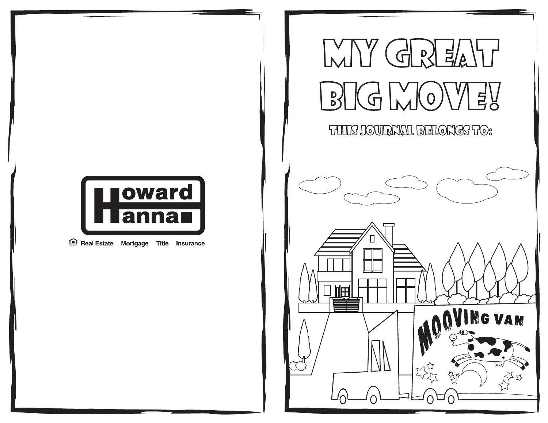

Real Estate Mortgage Title Insurance

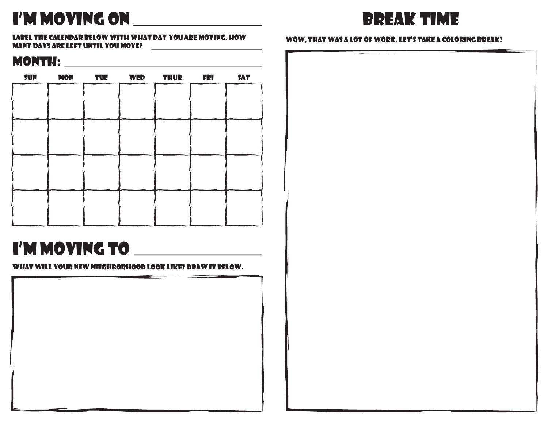# I'm moving on



label the calendar below with what day you are moving. how many days are left until you move?

### month:

| <b>SUN</b> |  | MON TUE WED THUR FRI |  | <b>SAT</b> |
|------------|--|----------------------|--|------------|
|            |  |                      |  |            |
|            |  |                      |  |            |
|            |  |                      |  |            |
|            |  |                      |  |            |
|            |  |                      |  |            |
|            |  |                      |  |            |
|            |  |                      |  |            |
|            |  |                      |  |            |
|            |  |                      |  |            |
|            |  |                      |  |            |
|            |  |                      |  |            |

## I'm moving to

what will your new neighborhood look like? draw it below.



### wow, that was a lot of work. let's take a coloring break!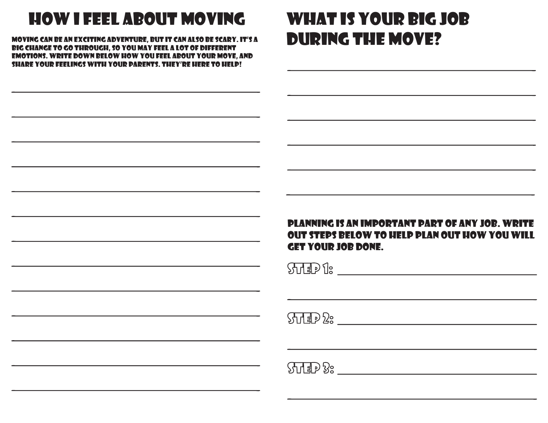# how i feel about moving

moving can be an exciting adventure, but it can also be scary. it's a big change to go through, so you may feel a lot of different emotions. write down below how you feel about your move, and share your feelings with your parents. they're here to help!

## what is your big job during the move?

### planning is an important part of any job. write out steps below to help plan out how you will get your job done.

 $\frac{1}{2}$ 

 $\frac{1}{2}$